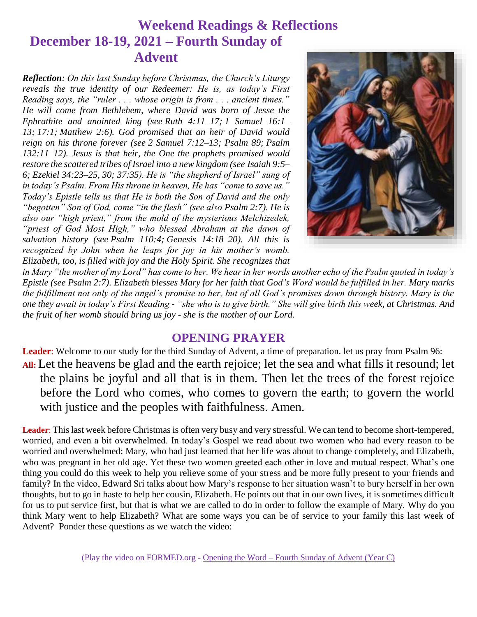# **Weekend Readings & Reflections December 18-19, 2021 – Fourth Sunday of Advent**

*Reflection: On this last Sunday before Christmas, the Church's Liturgy reveals the true identity of our Redeemer: He is, as today's First Reading says, the "ruler . . . whose origin is from . . . ancient times." He will come from Bethlehem, where David was born of Jesse the Ephrathite and anointed king (see [Ruth 4:11–17;](https://biblia.com/bible/rsvce/Ruth%204.11%E2%80%9317) [1 Samuel 16:1–](https://biblia.com/bible/rsvce/1%20Sam%2016.1%E2%80%9313) [13;](https://biblia.com/bible/rsvce/1%20Sam%2016.1%E2%80%9313) [17:1;](https://biblia.com/bible/rsvce/1%20Samuel%2017.1) [Matthew 2:6\)](https://biblia.com/bible/rsvce/Matt%202.6). God promised that an heir of David would reign on his throne forever (see [2 Samuel 7:12–13;](https://biblia.com/bible/rsvce/2%20Sam%207.12%E2%80%9313) Psalm 89; [Psalm](https://biblia.com/bible/rsvce/Ps%20132.11%E2%80%9312)  [132:11–12\)](https://biblia.com/bible/rsvce/Ps%20132.11%E2%80%9312). Jesus is that heir, the One the prophets promised would restore the scattered tribes of Israel into a new kingdom (see [Isaiah 9:5–](https://biblia.com/bible/rsvce/Isa%209.5%E2%80%936) [6;](https://biblia.com/bible/rsvce/Isa%209.5%E2%80%936) [Ezekiel 34:23–25,](https://biblia.com/bible/rsvce/Ezek%2034.23%E2%80%9325) [30;](https://biblia.com/bible/rsvce/Ezekiel%2034.30) [37:35\)](https://biblia.com/bible/rsvce/Ezekiel%2037.35). He is "the shepherd of Israel" sung of in today's Psalm. From His throne in heaven, He has "come to save us." Today's Epistle tells us that He is both the Son of David and the only "begotten" Son of God, come "in the flesh" (see also [Psalm 2:7\)](https://biblia.com/bible/rsvce/Ps%202.7). He is also our "high priest," from the mold of the mysterious Melchizedek, "priest of God Most High," who blessed Abraham at the dawn of salvation history (see [Psalm](https://biblia.com/bible/rsvce/Ps%20110.4) 110:4; [Genesis 14:18–20\)](https://biblia.com/bible/rsvce/Gen%2014.18%E2%80%9320). All this is recognized by John when he leaps for joy in his mother's womb. Elizabeth, too, is filled with joy and the Holy Spirit. She recognizes that* 



*in Mary "the mother of my Lord" has come to her. We hear in her words another echo of the Psalm quoted in today's Epistle (see [Psalm 2:7\)](https://biblia.com/bible/rsvce/Ps%202.7). Elizabeth blesses Mary for her faith that God's Word would be fulfilled in her. Mary marks the fulfillment not only of the angel's promise to her, but of all God's promises down through history. Mary is the one they await in today's First Reading - "she who is to give birth." She will give birth this week, at Christmas. And the fruit of her womb should bring us joy - she is the mother of our Lord.*

### **OPENING PRAYER**

**Leader**: Welcome to our study for the third Sunday of Advent, a time of preparation. let us pray from Psalm 96: **All:** Let the heavens be glad and the earth rejoice; let the sea and what fills it resound; let the plains be joyful and all that is in them. Then let the trees of the forest rejoice before the Lord who comes, who comes to govern the earth; to govern the world with justice and the peoples with faithfulness. Amen.

**Leader**: This last week before Christmas is often very busy and very stressful. We can tend to become short-tempered, worried, and even a bit overwhelmed. In today's Gospel we read about two women who had every reason to be worried and overwhelmed: Mary, who had just learned that her life was about to change completely, and Elizabeth, who was pregnant in her old age. Yet these two women greeted each other in love and mutual respect. What's one thing you could do this week to help you relieve some of your stress and be more fully present to your friends and family? In the video, Edward Sri talks about how Mary's response to her situation wasn't to bury herself in her own thoughts, but to go in haste to help her cousin, Elizabeth. He points out that in our own lives, it is sometimes difficult for us to put service first, but that is what we are called to do in order to follow the example of Mary. Why do you think Mary went to help Elizabeth? What are some ways you can be of service to your family this last week of Advent? Ponder these questions as we watch the video: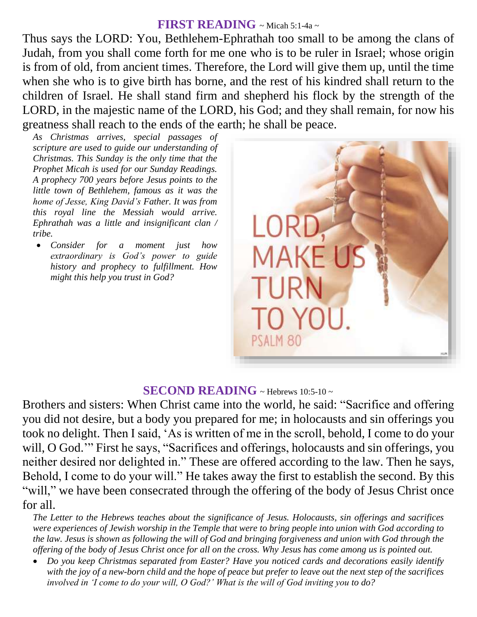#### **FIRST READING** ~ Micah 5:1-4a <sup>~</sup>

Thus says the LORD: You, Bethlehem-Ephrathah too small to be among the clans of Judah, from you shall come forth for me one who is to be ruler in Israel; whose origin is from of old, from ancient times. Therefore, the Lord will give them up, until the time when she who is to give birth has borne, and the rest of his kindred shall return to the children of Israel. He shall stand firm and shepherd his flock by the strength of the LORD, in the majestic name of the LORD, his God; and they shall remain, for now his greatness shall reach to the ends of the earth; he shall be peace.

*As Christmas arrives, special passages of scripture are used to guide our understanding of Christmas. This Sunday is the only time that the Prophet Micah is used for our Sunday Readings. A prophecy 700 years before Jesus points to the little town of Bethlehem, famous as it was the home of Jesse, King David's Father. It was from this royal line the Messiah would arrive. Ephrathah was a little and insignificant clan / tribe.*

 *Consider for a moment just how extraordinary is God's power to guide history and prophecy to fulfillment. How might this help you trust in God?*



#### **SECOND READING**  $\sim$  Hebrews 10:5-10  $\sim$

Brothers and sisters: When Christ came into the world, he said: "Sacrifice and offering you did not desire, but a body you prepared for me; in holocausts and sin offerings you took no delight. Then I said, 'As is written of me in the scroll, behold, I come to do your will, O God.'" First he says, "Sacrifices and offerings, holocausts and sin offerings, you neither desired nor delighted in." These are offered according to the law. Then he says, Behold, I come to do your will." He takes away the first to establish the second. By this "will," we have been consecrated through the offering of the body of Jesus Christ once for all.

*The Letter to the Hebrews teaches about the significance of Jesus. Holocausts, sin offerings and sacrifices were experiences of Jewish worship in the Temple that were to bring people into union with God according to the law. Jesus is shown as following the will of God and bringing forgiveness and union with God through the offering of the body of Jesus Christ once for all on the cross. Why Jesus has come among us is pointed out.* 

 *Do you keep Christmas separated from Easter? Have you noticed cards and decorations easily identify with the joy of a new-born child and the hope of peace but prefer to leave out the next step of the sacrifices involved in 'I come to do your will, O God?' What is the will of God inviting you to do?*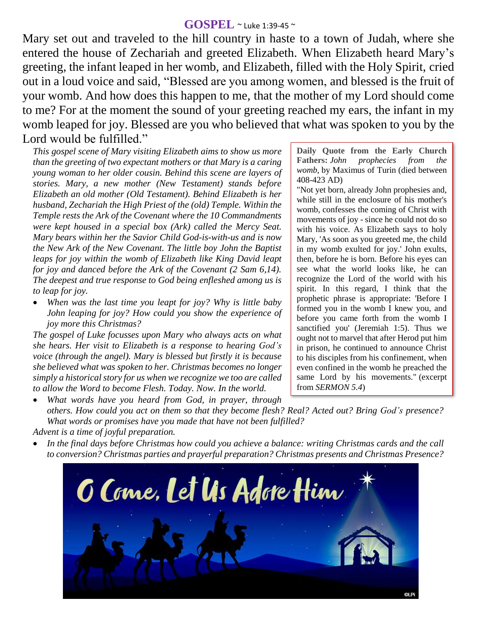#### **GOSPEL** ~ Luke 1:39-45 <sup>~</sup>

Mary set out and traveled to the hill country in haste to a town of Judah, where she entered the house of Zechariah and greeted Elizabeth. When Elizabeth heard Mary's greeting, the infant leaped in her womb, and Elizabeth, filled with the Holy Spirit, cried out in a loud voice and said, "Blessed are you among women, and blessed is the fruit of your womb. And how does this happen to me, that the mother of my Lord should come to me? For at the moment the sound of your greeting reached my ears, the infant in my womb leaped for joy. Blessed are you who believed that what was spoken to you by the Lord would be fulfilled."

*This gospel scene of Mary visiting Elizabeth aims to show us more than the greeting of two expectant mothers or that Mary is a caring young woman to her older cousin. Behind this scene are layers of stories. Mary, a new mother (New Testament) stands before Elizabeth an old mother (Old Testament). Behind Elizabeth is her husband, Zechariah the High Priest of the (old) Temple. Within the Temple rests the Ark of the Covenant where the 10 Commandments were kept housed in a special box (Ark) called the Mercy Seat. Mary bears within her the Savior Child God-is-with-us and is now the New Ark of the New Covenant. The little boy John the Baptist leaps for joy within the womb of Elizabeth like King David leapt for joy and danced before the Ark of the Covenant (2 Sam 6,14). The deepest and true response to God being enfleshed among us is to leap for joy.*

 *When was the last time you leapt for joy? Why is little baby John leaping for joy? How could you show the experience of joy more this Christmas?*

*The gospel of Luke focusses upon Mary who always acts on what she hears. Her visit to Elizabeth is a response to hearing God's voice (through the angel). Mary is blessed but firstly it is because she believed what was spoken to her. Christmas becomes no longer simply a historical story for us when we recognize we too are called to allow the Word to become Flesh. Today. Now. In the world.*

**Daily Quote from the Early Church Fathers:** *John prophecies from the womb,* by Maximus of Turin (died between 408-423 AD)

"Not yet born, already John prophesies and, while still in the enclosure of his mother's womb, confesses the coming of Christ with movements of joy - since he could not do so with his voice. As Elizabeth says to holy Mary, 'As soon as you greeted me, the child in my womb exulted for joy.' John exults, then, before he is born. Before his eyes can see what the world looks like, he can recognize the Lord of the world with his spirit. In this regard, I think that the prophetic phrase is appropriate: 'Before I formed you in the womb I knew you, and before you came forth from the womb I sanctified you' (Jeremiah 1:5). Thus we ought not to marvel that after Herod put him in prison, he continued to announce Christ to his disciples from his confinement, when even confined in the womb he preached the same Lord by his movements." (excerpt from *SERMON 5.4*)

 *What words have you heard from God, in prayer, through others. How could you act on them so that they become flesh? Real? Acted out? Bring God's presence? What words or promises have you made that have not been fulfilled?*

*Advent is a time of joyful preparation.* 

 *In the final days before Christmas how could you achieve a balance: writing Christmas cards and the call to conversion? Christmas parties and prayerful preparation? Christmas presents and Christmas Presence?*